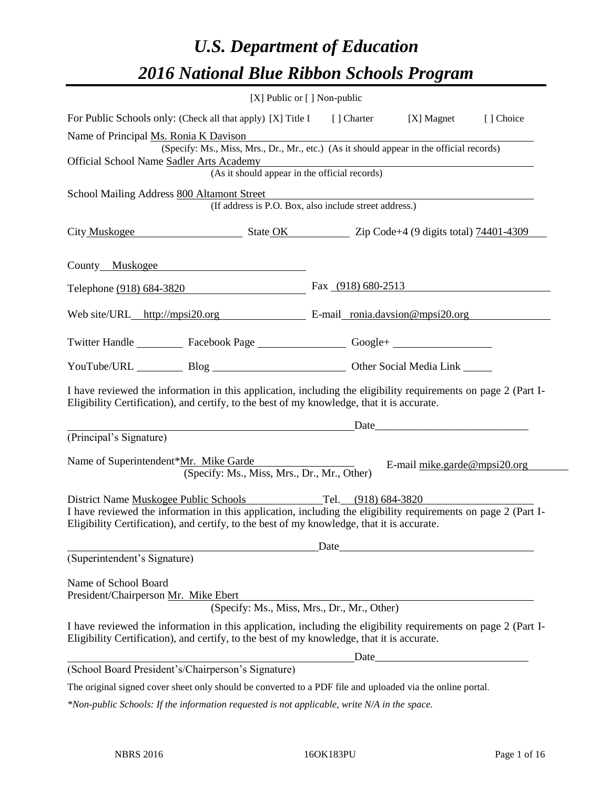# *U.S. Department of Education 2016 National Blue Ribbon Schools Program*

| [X] Public or [] Non-public                                                                                                                                                                                                                                               |                      |                                                                                                                                                                                                                                |           |
|---------------------------------------------------------------------------------------------------------------------------------------------------------------------------------------------------------------------------------------------------------------------------|----------------------|--------------------------------------------------------------------------------------------------------------------------------------------------------------------------------------------------------------------------------|-----------|
| For Public Schools only: (Check all that apply) [X] Title I                                                                                                                                                                                                               |                      | [ ] Charter [X] Magnet                                                                                                                                                                                                         | [] Choice |
| Name of Principal Ms. Ronia K Davison                                                                                                                                                                                                                                     |                      |                                                                                                                                                                                                                                |           |
| (Specify: Ms., Miss, Mrs., Dr., Mr., etc.) (As it should appear in the official records)                                                                                                                                                                                  |                      |                                                                                                                                                                                                                                |           |
| Official School Name Sadler Arts Academy<br>(As it should appear in the official records)                                                                                                                                                                                 |                      |                                                                                                                                                                                                                                |           |
|                                                                                                                                                                                                                                                                           |                      |                                                                                                                                                                                                                                |           |
| School Mailing Address 800 Altamont Street<br>(If address is P.O. Box, also include street address.)                                                                                                                                                                      |                      |                                                                                                                                                                                                                                |           |
| City Muskogee State OK Zip Code+4 (9 digits total) 74401-4309                                                                                                                                                                                                             |                      |                                                                                                                                                                                                                                |           |
| County Muskogee                                                                                                                                                                                                                                                           |                      |                                                                                                                                                                                                                                |           |
| Telephone (918) 684-3820                                                                                                                                                                                                                                                  | Fax $(918)$ 680-2513 |                                                                                                                                                                                                                                |           |
| Web site/URL_http://mpsi20.org E-mail_ronia.davsion@mpsi20.org                                                                                                                                                                                                            |                      |                                                                                                                                                                                                                                |           |
| Twitter Handle ___________ Facebook Page __________________ Google+ ____________                                                                                                                                                                                          |                      |                                                                                                                                                                                                                                |           |
| YouTube/URL Blog Blog Cher Social Media Link                                                                                                                                                                                                                              |                      |                                                                                                                                                                                                                                |           |
| I have reviewed the information in this application, including the eligibility requirements on page 2 (Part I-<br>Eligibility Certification), and certify, to the best of my knowledge, that it is accurate.                                                              |                      |                                                                                                                                                                                                                                |           |
|                                                                                                                                                                                                                                                                           |                      | Date and the contract of the contract of the contract of the contract of the contract of the contract of the contract of the contract of the contract of the contract of the contract of the contract of the contract of the c |           |
| (Principal's Signature)                                                                                                                                                                                                                                                   |                      |                                                                                                                                                                                                                                |           |
| Name of Superintendent*Mr. Mike Garde<br>(Specify: Ms., Miss, Mrs., Dr., Mr., Other)                                                                                                                                                                                      |                      | E-mail mike.garde@mpsi20.org                                                                                                                                                                                                   |           |
| District Name Muskogee Public Schools Tel. (918) 684-3820<br>I have reviewed the information in this application, including the eligibility requirements on page 2 (Part I-<br>Eligibility Certification), and certify, to the best of my knowledge, that it is accurate. |                      |                                                                                                                                                                                                                                |           |
| (Superintendent's Signature)                                                                                                                                                                                                                                              |                      | Date and the same state of the state of the state of the state of the state of the state of the state of the state of the state of the state of the state of the state of the state of the state of the state of the state of  |           |
|                                                                                                                                                                                                                                                                           |                      |                                                                                                                                                                                                                                |           |
| Name of School Board<br>President/Chairperson Mr. Mike Ebert<br>(Specify: Ms., Miss, Mrs., Dr., Mr., Other)                                                                                                                                                               |                      |                                                                                                                                                                                                                                |           |
| I have reviewed the information in this application, including the eligibility requirements on page 2 (Part I-<br>Eligibility Certification), and certify, to the best of my knowledge, that it is accurate.                                                              |                      |                                                                                                                                                                                                                                |           |
|                                                                                                                                                                                                                                                                           |                      |                                                                                                                                                                                                                                |           |
| (School Board President's/Chairperson's Signature)                                                                                                                                                                                                                        |                      |                                                                                                                                                                                                                                |           |
| The original signed cover sheet only should be converted to a PDF file and uploaded via the online portal.                                                                                                                                                                |                      |                                                                                                                                                                                                                                |           |

*\*Non-public Schools: If the information requested is not applicable, write N/A in the space.*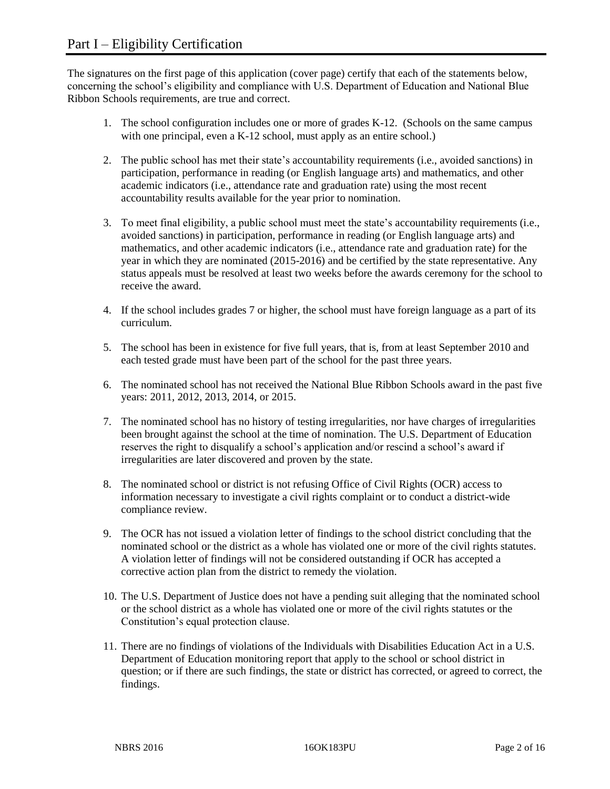The signatures on the first page of this application (cover page) certify that each of the statements below, concerning the school's eligibility and compliance with U.S. Department of Education and National Blue Ribbon Schools requirements, are true and correct.

- 1. The school configuration includes one or more of grades K-12. (Schools on the same campus with one principal, even a K-12 school, must apply as an entire school.)
- 2. The public school has met their state's accountability requirements (i.e., avoided sanctions) in participation, performance in reading (or English language arts) and mathematics, and other academic indicators (i.e., attendance rate and graduation rate) using the most recent accountability results available for the year prior to nomination.
- 3. To meet final eligibility, a public school must meet the state's accountability requirements (i.e., avoided sanctions) in participation, performance in reading (or English language arts) and mathematics, and other academic indicators (i.e., attendance rate and graduation rate) for the year in which they are nominated (2015-2016) and be certified by the state representative. Any status appeals must be resolved at least two weeks before the awards ceremony for the school to receive the award.
- 4. If the school includes grades 7 or higher, the school must have foreign language as a part of its curriculum.
- 5. The school has been in existence for five full years, that is, from at least September 2010 and each tested grade must have been part of the school for the past three years.
- 6. The nominated school has not received the National Blue Ribbon Schools award in the past five years: 2011, 2012, 2013, 2014, or 2015.
- 7. The nominated school has no history of testing irregularities, nor have charges of irregularities been brought against the school at the time of nomination. The U.S. Department of Education reserves the right to disqualify a school's application and/or rescind a school's award if irregularities are later discovered and proven by the state.
- 8. The nominated school or district is not refusing Office of Civil Rights (OCR) access to information necessary to investigate a civil rights complaint or to conduct a district-wide compliance review.
- 9. The OCR has not issued a violation letter of findings to the school district concluding that the nominated school or the district as a whole has violated one or more of the civil rights statutes. A violation letter of findings will not be considered outstanding if OCR has accepted a corrective action plan from the district to remedy the violation.
- 10. The U.S. Department of Justice does not have a pending suit alleging that the nominated school or the school district as a whole has violated one or more of the civil rights statutes or the Constitution's equal protection clause.
- 11. There are no findings of violations of the Individuals with Disabilities Education Act in a U.S. Department of Education monitoring report that apply to the school or school district in question; or if there are such findings, the state or district has corrected, or agreed to correct, the findings.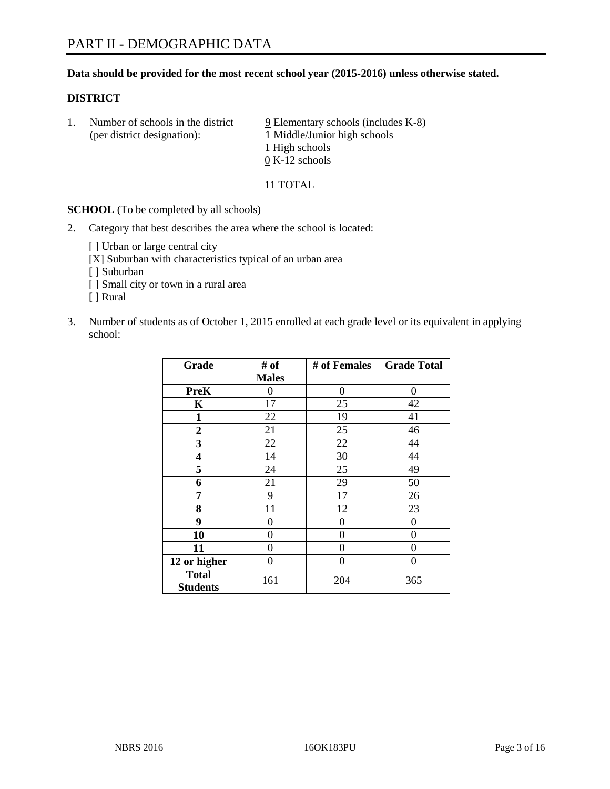### **Data should be provided for the most recent school year (2015-2016) unless otherwise stated.**

#### **DISTRICT**

1. Number of schools in the district  $9$  Elementary schools (includes K-8) (per district designation):  $\frac{1 \text{ Middle/Junior high schools}}{}$ 1 High schools 0 K-12 schools

11 TOTAL

**SCHOOL** (To be completed by all schools)

2. Category that best describes the area where the school is located:

[] Urban or large central city [X] Suburban with characteristics typical of an urban area

[ ] Suburban

- [ ] Small city or town in a rural area
- [ ] Rural
- 3. Number of students as of October 1, 2015 enrolled at each grade level or its equivalent in applying school:

| Grade                           | # of         | # of Females   | <b>Grade Total</b> |
|---------------------------------|--------------|----------------|--------------------|
|                                 | <b>Males</b> |                |                    |
| <b>PreK</b>                     | 0            | 0              | 0                  |
| $\mathbf K$                     | 17           | 25             | 42                 |
| 1                               | 22           | 19             | 41                 |
| $\boldsymbol{2}$                | 21           | 25             | 46                 |
| 3                               | 22           | 22             | 44                 |
| 4                               | 14           | 30             | 44                 |
| 5                               | 24           | 25             | 49                 |
| 6                               | 21           | 29             | 50                 |
| 7                               | 9            | 17             | 26                 |
| 8                               | 11           | 12             | 23                 |
| 9                               | 0            | $\overline{0}$ | 0                  |
| 10                              | 0            | 0              | 0                  |
| 11                              | 0            | 0              | 0                  |
| 12 or higher                    | 0            | 0              | 0                  |
| <b>Total</b><br><b>Students</b> | 161          | 204            | 365                |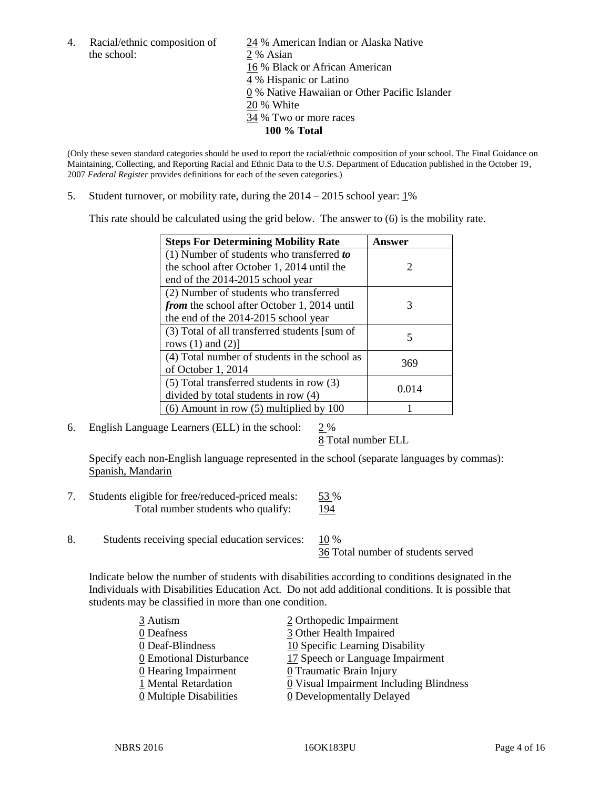the school: 2 % Asian

4. Racial/ethnic composition of 24 % American Indian or Alaska Native 16 % Black or African American 4 % Hispanic or Latino 0 % Native Hawaiian or Other Pacific Islander 20 % White 34 % Two or more races **100 % Total**

(Only these seven standard categories should be used to report the racial/ethnic composition of your school. The Final Guidance on Maintaining, Collecting, and Reporting Racial and Ethnic Data to the U.S. Department of Education published in the October 19, 2007 *Federal Register* provides definitions for each of the seven categories.)

5. Student turnover, or mobility rate, during the  $2014 - 2015$  school year:  $1\%$ 

This rate should be calculated using the grid below. The answer to (6) is the mobility rate.

| <b>Steps For Determining Mobility Rate</b>    | Answer                      |  |
|-----------------------------------------------|-----------------------------|--|
| $(1)$ Number of students who transferred to   |                             |  |
| the school after October 1, 2014 until the    | $\mathcal{D}_{\mathcal{L}}$ |  |
| end of the 2014-2015 school year              |                             |  |
| (2) Number of students who transferred        |                             |  |
| from the school after October 1, 2014 until   | 3                           |  |
| the end of the 2014-2015 school year          |                             |  |
| (3) Total of all transferred students [sum of | 5                           |  |
| rows $(1)$ and $(2)$ ]                        |                             |  |
| (4) Total number of students in the school as | 369                         |  |
| of October 1, 2014                            |                             |  |
| (5) Total transferred students in row (3)     | 0.014                       |  |
| divided by total students in row (4)          |                             |  |
| $(6)$ Amount in row $(5)$ multiplied by 100   |                             |  |

6. English Language Learners (ELL) in the school: 2 %

8 Total number ELL

Specify each non-English language represented in the school (separate languages by commas): Spanish, Mandarin

- 7. Students eligible for free/reduced-priced meals: 53 % Total number students who qualify: 194
- 8. Students receiving special education services: 10 %

36 Total number of students served

Indicate below the number of students with disabilities according to conditions designated in the Individuals with Disabilities Education Act. Do not add additional conditions. It is possible that students may be classified in more than one condition.

| 3 Autism                              | 2 Orthopedic Impairment                 |
|---------------------------------------|-----------------------------------------|
| 0 Deafness                            | 3 Other Health Impaired                 |
| 0 Deaf-Blindness                      | 10 Specific Learning Disability         |
| 0 Emotional Disturbance               | 17 Speech or Language Impairment        |
| $\underline{0}$ Hearing Impairment    | 0 Traumatic Brain Injury                |
| 1 Mental Retardation                  | 0 Visual Impairment Including Blindness |
| $\underline{0}$ Multiple Disabilities | 0 Developmentally Delayed               |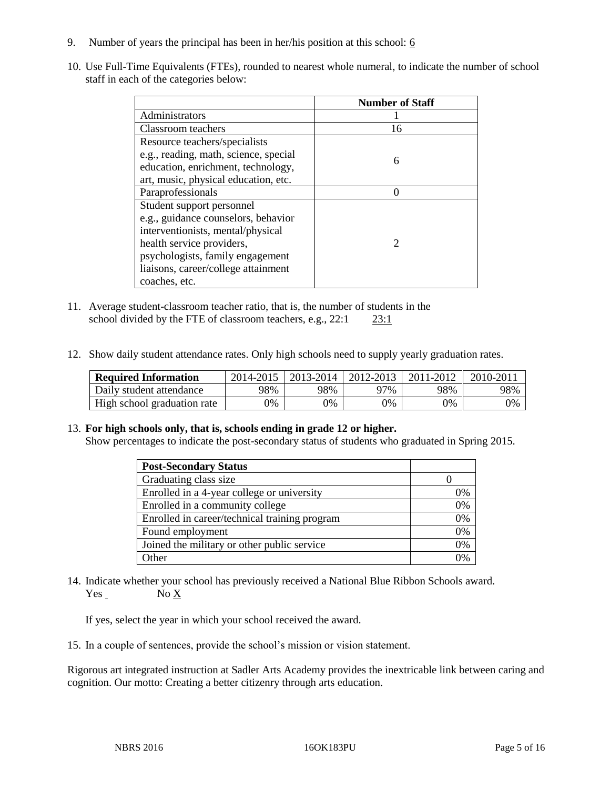- 9. Number of years the principal has been in her/his position at this school:  $6$
- 10. Use Full-Time Equivalents (FTEs), rounded to nearest whole numeral, to indicate the number of school staff in each of the categories below:

|                                       | <b>Number of Staff</b>      |
|---------------------------------------|-----------------------------|
| Administrators                        |                             |
| Classroom teachers                    | 16                          |
| Resource teachers/specialists         |                             |
| e.g., reading, math, science, special | 6                           |
| education, enrichment, technology,    |                             |
| art, music, physical education, etc.  |                             |
| Paraprofessionals                     |                             |
| Student support personnel             |                             |
| e.g., guidance counselors, behavior   |                             |
| interventionists, mental/physical     |                             |
| health service providers,             | $\mathcal{D}_{\mathcal{L}}$ |
| psychologists, family engagement      |                             |
| liaisons, career/college attainment   |                             |
| coaches, etc.                         |                             |

- 11. Average student-classroom teacher ratio, that is, the number of students in the school divided by the FTE of classroom teachers, e.g., 22:1 23:1
- 12. Show daily student attendance rates. Only high schools need to supply yearly graduation rates.

| <b>Required Information</b> | 2014-2015 | $2013 - 2014$ | 2012-2013 | 2011-2012 | $2010 - 2011$ |
|-----------------------------|-----------|---------------|-----------|-----------|---------------|
| Daily student attendance    | 98%       | 98%           | 97%       | 98%       | 98%           |
| High school graduation rate | 0%        | $\gamma\%$    | 9%        | 9%        | 0%            |

#### 13. **For high schools only, that is, schools ending in grade 12 or higher.**

Show percentages to indicate the post-secondary status of students who graduated in Spring 2015.

| <b>Post-Secondary Status</b>                  |    |
|-----------------------------------------------|----|
| Graduating class size                         |    |
| Enrolled in a 4-year college or university    | 0% |
| Enrolled in a community college               | 0% |
| Enrolled in career/technical training program | 0% |
| Found employment                              | 0% |
| Joined the military or other public service   | 0% |
| Other                                         | በ% |

14. Indicate whether your school has previously received a National Blue Ribbon Schools award. Yes No X

If yes, select the year in which your school received the award.

15. In a couple of sentences, provide the school's mission or vision statement.

Rigorous art integrated instruction at Sadler Arts Academy provides the inextricable link between caring and cognition. Our motto: Creating a better citizenry through arts education.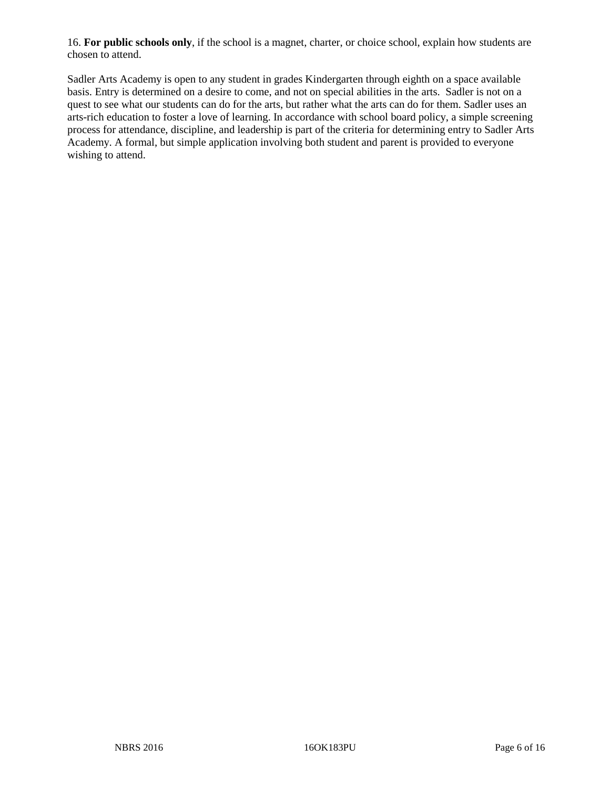16. **For public schools only**, if the school is a magnet, charter, or choice school, explain how students are chosen to attend.

Sadler Arts Academy is open to any student in grades Kindergarten through eighth on a space available basis. Entry is determined on a desire to come, and not on special abilities in the arts. Sadler is not on a quest to see what our students can do for the arts, but rather what the arts can do for them. Sadler uses an arts-rich education to foster a love of learning. In accordance with school board policy, a simple screening process for attendance, discipline, and leadership is part of the criteria for determining entry to Sadler Arts Academy. A formal, but simple application involving both student and parent is provided to everyone wishing to attend.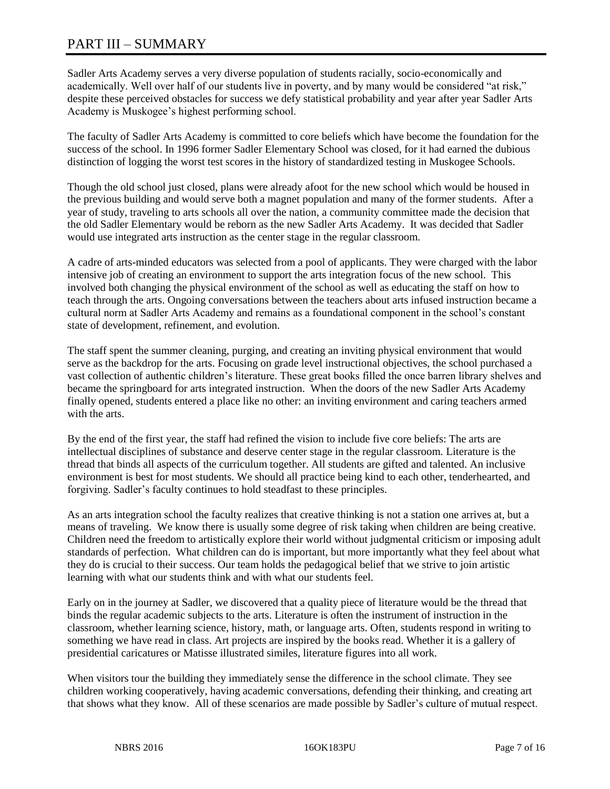# PART III – SUMMARY

Sadler Arts Academy serves a very diverse population of students racially, socio-economically and academically. Well over half of our students live in poverty, and by many would be considered "at risk," despite these perceived obstacles for success we defy statistical probability and year after year Sadler Arts Academy is Muskogee's highest performing school.

The faculty of Sadler Arts Academy is committed to core beliefs which have become the foundation for the success of the school. In 1996 former Sadler Elementary School was closed, for it had earned the dubious distinction of logging the worst test scores in the history of standardized testing in Muskogee Schools.

Though the old school just closed, plans were already afoot for the new school which would be housed in the previous building and would serve both a magnet population and many of the former students. After a year of study, traveling to arts schools all over the nation, a community committee made the decision that the old Sadler Elementary would be reborn as the new Sadler Arts Academy. It was decided that Sadler would use integrated arts instruction as the center stage in the regular classroom.

A cadre of arts-minded educators was selected from a pool of applicants. They were charged with the labor intensive job of creating an environment to support the arts integration focus of the new school. This involved both changing the physical environment of the school as well as educating the staff on how to teach through the arts. Ongoing conversations between the teachers about arts infused instruction became a cultural norm at Sadler Arts Academy and remains as a foundational component in the school's constant state of development, refinement, and evolution.

The staff spent the summer cleaning, purging, and creating an inviting physical environment that would serve as the backdrop for the arts. Focusing on grade level instructional objectives, the school purchased a vast collection of authentic children's literature. These great books filled the once barren library shelves and became the springboard for arts integrated instruction. When the doors of the new Sadler Arts Academy finally opened, students entered a place like no other: an inviting environment and caring teachers armed with the arts.

By the end of the first year, the staff had refined the vision to include five core beliefs: The arts are intellectual disciplines of substance and deserve center stage in the regular classroom. Literature is the thread that binds all aspects of the curriculum together. All students are gifted and talented. An inclusive environment is best for most students. We should all practice being kind to each other, tenderhearted, and forgiving. Sadler's faculty continues to hold steadfast to these principles.

As an arts integration school the faculty realizes that creative thinking is not a station one arrives at, but a means of traveling. We know there is usually some degree of risk taking when children are being creative. Children need the freedom to artistically explore their world without judgmental criticism or imposing adult standards of perfection. What children can do is important, but more importantly what they feel about what they do is crucial to their success. Our team holds the pedagogical belief that we strive to join artistic learning with what our students think and with what our students feel.

Early on in the journey at Sadler, we discovered that a quality piece of literature would be the thread that binds the regular academic subjects to the arts. Literature is often the instrument of instruction in the classroom, whether learning science, history, math, or language arts. Often, students respond in writing to something we have read in class. Art projects are inspired by the books read. Whether it is a gallery of presidential caricatures or Matisse illustrated similes, literature figures into all work.

When visitors tour the building they immediately sense the difference in the school climate. They see children working cooperatively, having academic conversations, defending their thinking, and creating art that shows what they know. All of these scenarios are made possible by Sadler's culture of mutual respect.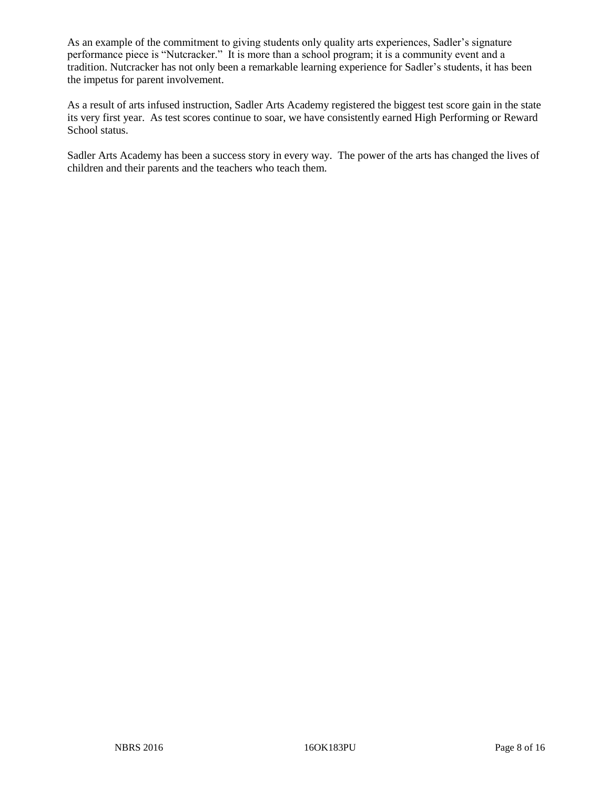As an example of the commitment to giving students only quality arts experiences, Sadler's signature performance piece is "Nutcracker." It is more than a school program; it is a community event and a tradition. Nutcracker has not only been a remarkable learning experience for Sadler's students, it has been the impetus for parent involvement.

As a result of arts infused instruction, Sadler Arts Academy registered the biggest test score gain in the state its very first year. As test scores continue to soar, we have consistently earned High Performing or Reward School status.

Sadler Arts Academy has been a success story in every way. The power of the arts has changed the lives of children and their parents and the teachers who teach them.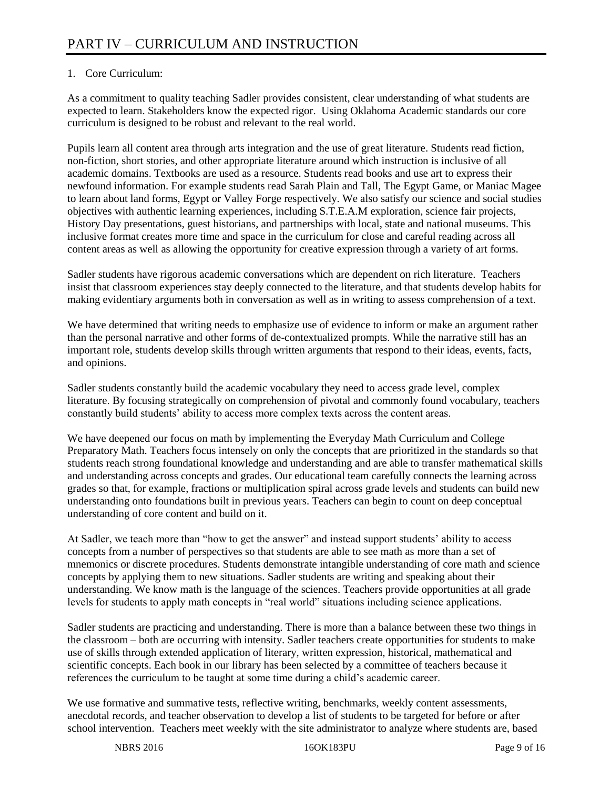# 1. Core Curriculum:

As a commitment to quality teaching Sadler provides consistent, clear understanding of what students are expected to learn. Stakeholders know the expected rigor. Using Oklahoma Academic standards our core curriculum is designed to be robust and relevant to the real world.

Pupils learn all content area through arts integration and the use of great literature. Students read fiction, non-fiction, short stories, and other appropriate literature around which instruction is inclusive of all academic domains. Textbooks are used as a resource. Students read books and use art to express their newfound information. For example students read Sarah Plain and Tall, The Egypt Game, or Maniac Magee to learn about land forms, Egypt or Valley Forge respectively. We also satisfy our science and social studies objectives with authentic learning experiences, including S.T.E.A.M exploration, science fair projects, History Day presentations, guest historians, and partnerships with local, state and national museums. This inclusive format creates more time and space in the curriculum for close and careful reading across all content areas as well as allowing the opportunity for creative expression through a variety of art forms.

Sadler students have rigorous academic conversations which are dependent on rich literature. Teachers insist that classroom experiences stay deeply connected to the literature, and that students develop habits for making evidentiary arguments both in conversation as well as in writing to assess comprehension of a text.

We have determined that writing needs to emphasize use of evidence to inform or make an argument rather than the personal narrative and other forms of de-contextualized prompts. While the narrative still has an important role, students develop skills through written arguments that respond to their ideas, events, facts, and opinions.

Sadler students constantly build the academic vocabulary they need to access grade level, complex literature. By focusing strategically on comprehension of pivotal and commonly found vocabulary, teachers constantly build students' ability to access more complex texts across the content areas.

We have deepened our focus on math by implementing the Everyday Math Curriculum and College Preparatory Math. Teachers focus intensely on only the concepts that are prioritized in the standards so that students reach strong foundational knowledge and understanding and are able to transfer mathematical skills and understanding across concepts and grades. Our educational team carefully connects the learning across grades so that, for example, fractions or multiplication spiral across grade levels and students can build new understanding onto foundations built in previous years. Teachers can begin to count on deep conceptual understanding of core content and build on it.

At Sadler, we teach more than "how to get the answer" and instead support students' ability to access concepts from a number of perspectives so that students are able to see math as more than a set of mnemonics or discrete procedures. Students demonstrate intangible understanding of core math and science concepts by applying them to new situations. Sadler students are writing and speaking about their understanding. We know math is the language of the sciences. Teachers provide opportunities at all grade levels for students to apply math concepts in "real world" situations including science applications.

Sadler students are practicing and understanding. There is more than a balance between these two things in the classroom – both are occurring with intensity. Sadler teachers create opportunities for students to make use of skills through extended application of literary, written expression, historical, mathematical and scientific concepts. Each book in our library has been selected by a committee of teachers because it references the curriculum to be taught at some time during a child's academic career.

We use formative and summative tests, reflective writing, benchmarks, weekly content assessments, anecdotal records, and teacher observation to develop a list of students to be targeted for before or after school intervention. Teachers meet weekly with the site administrator to analyze where students are, based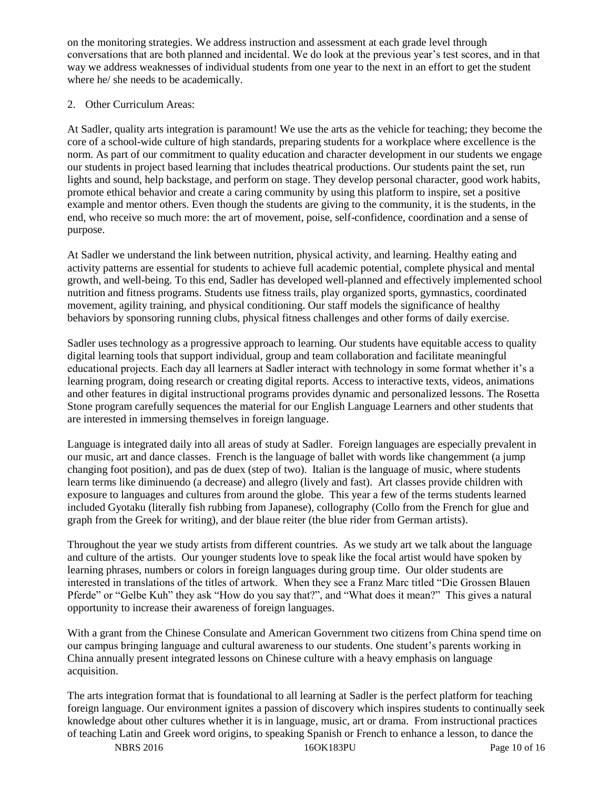on the monitoring strategies. We address instruction and assessment at each grade level through conversations that are both planned and incidental. We do look at the previous year's test scores, and in that way we address weaknesses of individual students from one year to the next in an effort to get the student where he/ she needs to be academically.

# 2. Other Curriculum Areas:

At Sadler, quality arts integration is paramount! We use the arts as the vehicle for teaching; they become the core of a school-wide culture of high standards, preparing students for a workplace where excellence is the norm. As part of our commitment to quality education and character development in our students we engage our students in project based learning that includes theatrical productions. Our students paint the set, run lights and sound, help backstage, and perform on stage. They develop personal character, good work habits, promote ethical behavior and create a caring community by using this platform to inspire, set a positive example and mentor others. Even though the students are giving to the community, it is the students, in the end, who receive so much more: the art of movement, poise, self-confidence, coordination and a sense of purpose.

At Sadler we understand the link between nutrition, physical activity, and learning. Healthy eating and activity patterns are essential for students to achieve full academic potential, complete physical and mental growth, and well-being. To this end, Sadler has developed well-planned and effectively implemented school nutrition and fitness programs. Students use fitness trails, play organized sports, gymnastics, coordinated movement, agility training, and physical conditioning. Our staff models the significance of healthy behaviors by sponsoring running clubs, physical fitness challenges and other forms of daily exercise.

Sadler uses technology as a progressive approach to learning. Our students have equitable access to quality digital learning tools that support individual, group and team collaboration and facilitate meaningful educational projects. Each day all learners at Sadler interact with technology in some format whether it's a learning program, doing research or creating digital reports. Access to interactive texts, videos, animations and other features in digital instructional programs provides dynamic and personalized lessons. The Rosetta Stone program carefully sequences the material for our English Language Learners and other students that are interested in immersing themselves in foreign language.

Language is integrated daily into all areas of study at Sadler. Foreign languages are especially prevalent in our music, art and dance classes. French is the language of ballet with words like changemment (a jump changing foot position), and pas de duex (step of two). Italian is the language of music, where students learn terms like diminuendo (a decrease) and allegro (lively and fast). Art classes provide children with exposure to languages and cultures from around the globe. This year a few of the terms students learned included Gyotaku (literally fish rubbing from Japanese), collography (Collo from the French for glue and graph from the Greek for writing), and der blaue reiter (the blue rider from German artists).

Throughout the year we study artists from different countries. As we study art we talk about the language and culture of the artists. Our younger students love to speak like the focal artist would have spoken by learning phrases, numbers or colors in foreign languages during group time. Our older students are interested in translations of the titles of artwork. When they see a Franz Marc titled "Die Grossen Blauen Pferde" or "Gelbe Kuh" they ask "How do you say that?", and "What does it mean?" This gives a natural opportunity to increase their awareness of foreign languages.

With a grant from the Chinese Consulate and American Government two citizens from China spend time on our campus bringing language and cultural awareness to our students. One student's parents working in China annually present integrated lessons on Chinese culture with a heavy emphasis on language acquisition.

The arts integration format that is foundational to all learning at Sadler is the perfect platform for teaching foreign language. Our environment ignites a passion of discovery which inspires students to continually seek knowledge about other cultures whether it is in language, music, art or drama. From instructional practices of teaching Latin and Greek word origins, to speaking Spanish or French to enhance a lesson, to dance the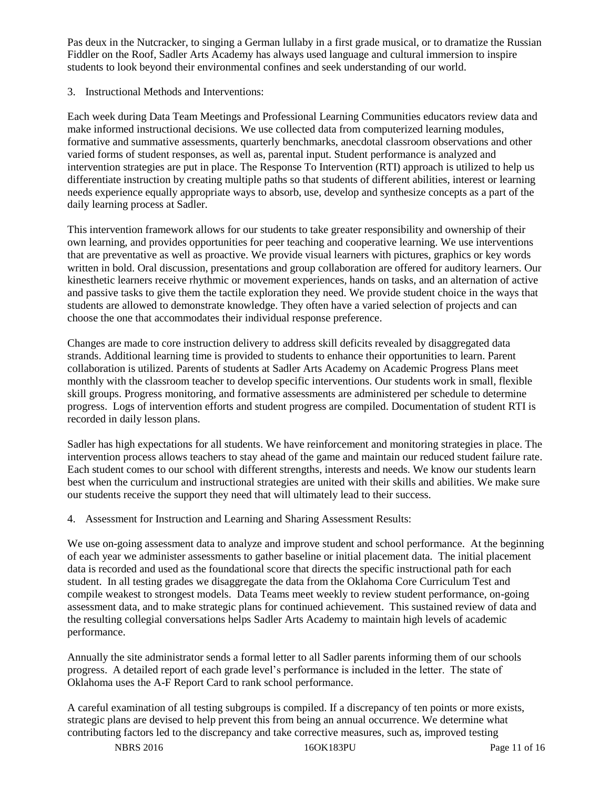Pas deux in the Nutcracker, to singing a German lullaby in a first grade musical, or to dramatize the Russian Fiddler on the Roof, Sadler Arts Academy has always used language and cultural immersion to inspire students to look beyond their environmental confines and seek understanding of our world.

3. Instructional Methods and Interventions:

Each week during Data Team Meetings and Professional Learning Communities educators review data and make informed instructional decisions. We use collected data from computerized learning modules, formative and summative assessments, quarterly benchmarks, anecdotal classroom observations and other varied forms of student responses, as well as, parental input. Student performance is analyzed and intervention strategies are put in place. The Response To Intervention (RTI) approach is utilized to help us differentiate instruction by creating multiple paths so that students of different abilities, interest or learning needs experience equally appropriate ways to absorb, use, develop and synthesize concepts as a part of the daily learning process at Sadler.

This intervention framework allows for our students to take greater responsibility and ownership of their own learning, and provides opportunities for peer teaching and cooperative learning. We use interventions that are preventative as well as proactive. We provide visual learners with pictures, graphics or key words written in bold. Oral discussion, presentations and group collaboration are offered for auditory learners. Our kinesthetic learners receive rhythmic or movement experiences, hands on tasks, and an alternation of active and passive tasks to give them the tactile exploration they need. We provide student choice in the ways that students are allowed to demonstrate knowledge. They often have a varied selection of projects and can choose the one that accommodates their individual response preference.

Changes are made to core instruction delivery to address skill deficits revealed by disaggregated data strands. Additional learning time is provided to students to enhance their opportunities to learn. Parent collaboration is utilized. Parents of students at Sadler Arts Academy on Academic Progress Plans meet monthly with the classroom teacher to develop specific interventions. Our students work in small, flexible skill groups. Progress monitoring, and formative assessments are administered per schedule to determine progress. Logs of intervention efforts and student progress are compiled. Documentation of student RTI is recorded in daily lesson plans.

Sadler has high expectations for all students. We have reinforcement and monitoring strategies in place. The intervention process allows teachers to stay ahead of the game and maintain our reduced student failure rate. Each student comes to our school with different strengths, interests and needs. We know our students learn best when the curriculum and instructional strategies are united with their skills and abilities. We make sure our students receive the support they need that will ultimately lead to their success.

4. Assessment for Instruction and Learning and Sharing Assessment Results:

We use on-going assessment data to analyze and improve student and school performance. At the beginning of each year we administer assessments to gather baseline or initial placement data. The initial placement data is recorded and used as the foundational score that directs the specific instructional path for each student. In all testing grades we disaggregate the data from the Oklahoma Core Curriculum Test and compile weakest to strongest models. Data Teams meet weekly to review student performance, on-going assessment data, and to make strategic plans for continued achievement. This sustained review of data and the resulting collegial conversations helps Sadler Arts Academy to maintain high levels of academic performance.

Annually the site administrator sends a formal letter to all Sadler parents informing them of our schools progress. A detailed report of each grade level's performance is included in the letter. The state of Oklahoma uses the A-F Report Card to rank school performance.

A careful examination of all testing subgroups is compiled. If a discrepancy of ten points or more exists, strategic plans are devised to help prevent this from being an annual occurrence. We determine what contributing factors led to the discrepancy and take corrective measures, such as, improved testing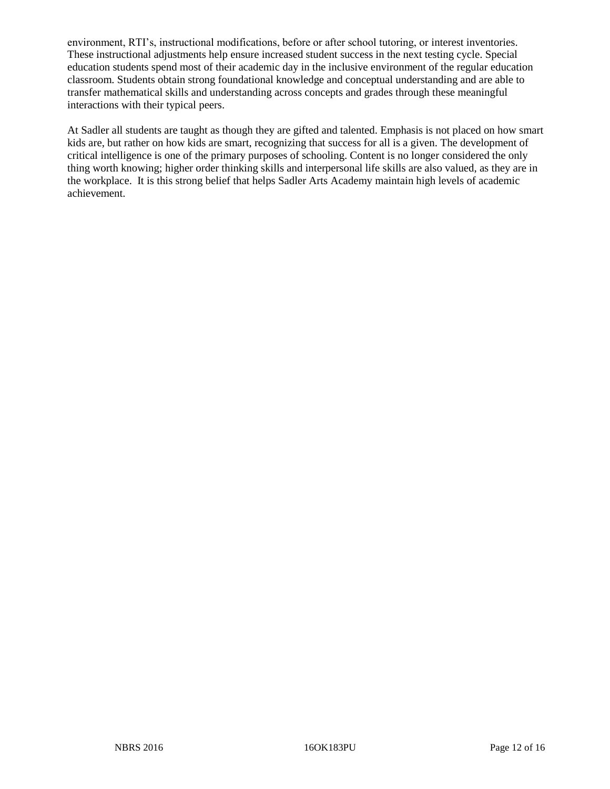environment, RTI's, instructional modifications, before or after school tutoring, or interest inventories. These instructional adjustments help ensure increased student success in the next testing cycle. Special education students spend most of their academic day in the inclusive environment of the regular education classroom. Students obtain strong foundational knowledge and conceptual understanding and are able to transfer mathematical skills and understanding across concepts and grades through these meaningful interactions with their typical peers.

At Sadler all students are taught as though they are gifted and talented. Emphasis is not placed on how smart kids are, but rather on how kids are smart, recognizing that success for all is a given. The development of critical intelligence is one of the primary purposes of schooling. Content is no longer considered the only thing worth knowing; higher order thinking skills and interpersonal life skills are also valued, as they are in the workplace. It is this strong belief that helps Sadler Arts Academy maintain high levels of academic achievement.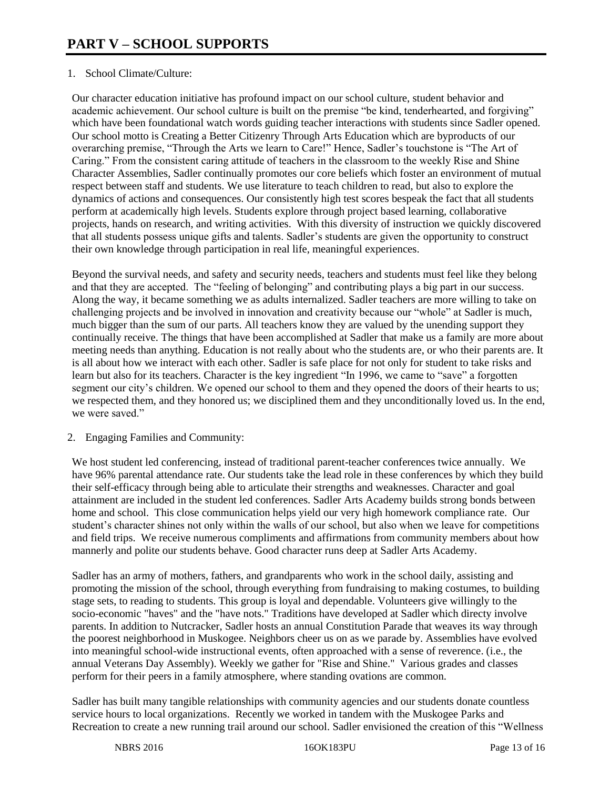# 1. School Climate/Culture:

Our character education initiative has profound impact on our school culture, student behavior and academic achievement. Our school culture is built on the premise "be kind, tenderhearted, and forgiving" which have been foundational watch words guiding teacher interactions with students since Sadler opened. Our school motto is Creating a Better Citizenry Through Arts Education which are byproducts of our overarching premise, "Through the Arts we learn to Care!" Hence, Sadler's touchstone is "The Art of Caring." From the consistent caring attitude of teachers in the classroom to the weekly Rise and Shine Character Assemblies, Sadler continually promotes our core beliefs which foster an environment of mutual respect between staff and students. We use literature to teach children to read, but also to explore the dynamics of actions and consequences. Our consistently high test scores bespeak the fact that all students perform at academically high levels. Students explore through project based learning, collaborative projects, hands on research, and writing activities. With this diversity of instruction we quickly discovered that all students possess unique gifts and talents. Sadler's students are given the opportunity to construct their own knowledge through participation in real life, meaningful experiences.

Beyond the survival needs, and safety and security needs, teachers and students must feel like they belong and that they are accepted. The "feeling of belonging" and contributing plays a big part in our success. Along the way, it became something we as adults internalized. Sadler teachers are more willing to take on challenging projects and be involved in innovation and creativity because our "whole" at Sadler is much, much bigger than the sum of our parts. All teachers know they are valued by the unending support they continually receive. The things that have been accomplished at Sadler that make us a family are more about meeting needs than anything. Education is not really about who the students are, or who their parents are. It is all about how we interact with each other. Sadler is safe place for not only for student to take risks and learn but also for its teachers. Character is the key ingredient "In 1996, we came to "save" a forgotten segment our city's children. We opened our school to them and they opened the doors of their hearts to us; we respected them, and they honored us; we disciplined them and they unconditionally loved us. In the end, we were saved."

### 2. Engaging Families and Community:

We host student led conferencing, instead of traditional parent-teacher conferences twice annually. We have 96% parental attendance rate. Our students take the lead role in these conferences by which they build their self-efficacy through being able to articulate their strengths and weaknesses. Character and goal attainment are included in the student led conferences. Sadler Arts Academy builds strong bonds between home and school. This close communication helps yield our very high homework compliance rate. Our student's character shines not only within the walls of our school, but also when we leave for competitions and field trips. We receive numerous compliments and affirmations from community members about how mannerly and polite our students behave. Good character runs deep at Sadler Arts Academy.

Sadler has an army of mothers, fathers, and grandparents who work in the school daily, assisting and promoting the mission of the school, through everything from fundraising to making costumes, to building stage sets, to reading to students. This group is loyal and dependable. Volunteers give willingly to the socio-economic "haves" and the "have nots." Traditions have developed at Sadler which directy involve parents. In addition to Nutcracker, Sadler hosts an annual Constitution Parade that weaves its way through the poorest neighborhood in Muskogee. Neighbors cheer us on as we parade by. Assemblies have evolved into meaningful school-wide instructional events, often approached with a sense of reverence. (i.e., the annual Veterans Day Assembly). Weekly we gather for "Rise and Shine." Various grades and classes perform for their peers in a family atmosphere, where standing ovations are common.

Sadler has built many tangible relationships with community agencies and our students donate countless service hours to local organizations. Recently we worked in tandem with the Muskogee Parks and Recreation to create a new running trail around our school. Sadler envisioned the creation of this "Wellness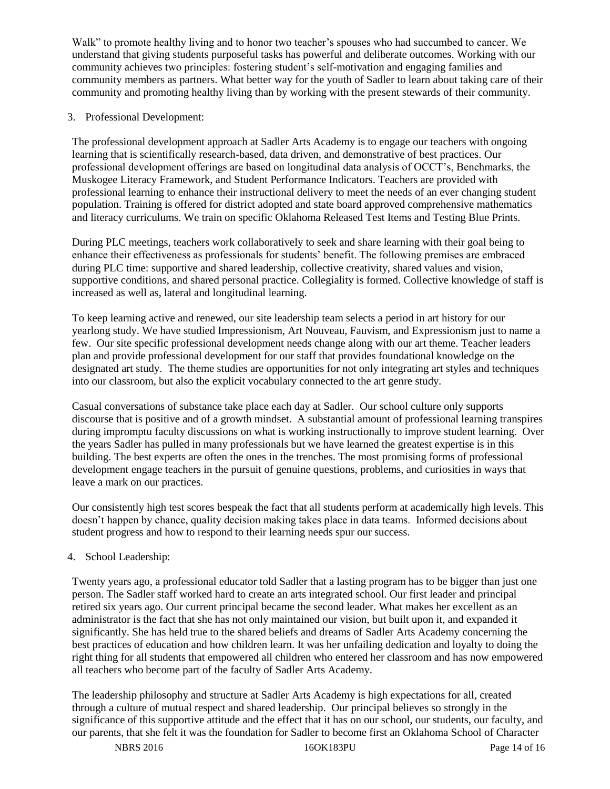Walk" to promote healthy living and to honor two teacher's spouses who had succumbed to cancer. We understand that giving students purposeful tasks has powerful and deliberate outcomes. Working with our community achieves two principles: fostering student's self-motivation and engaging families and community members as partners. What better way for the youth of Sadler to learn about taking care of their community and promoting healthy living than by working with the present stewards of their community.

# 3. Professional Development:

The professional development approach at Sadler Arts Academy is to engage our teachers with ongoing learning that is scientifically research-based, data driven, and demonstrative of best practices. Our professional development offerings are based on longitudinal data analysis of OCCT's, Benchmarks, the Muskogee Literacy Framework, and Student Performance Indicators. Teachers are provided with professional learning to enhance their instructional delivery to meet the needs of an ever changing student population. Training is offered for district adopted and state board approved comprehensive mathematics and literacy curriculums. We train on specific Oklahoma Released Test Items and Testing Blue Prints.

During PLC meetings, teachers work collaboratively to seek and share learning with their goal being to enhance their effectiveness as professionals for students' benefit. The following premises are embraced during PLC time: supportive and shared leadership, collective creativity, shared values and vision, supportive conditions, and shared personal practice. Collegiality is formed. Collective knowledge of staff is increased as well as, lateral and longitudinal learning.

To keep learning active and renewed, our site leadership team selects a period in art history for our yearlong study. We have studied Impressionism, Art Nouveau, Fauvism, and Expressionism just to name a few. Our site specific professional development needs change along with our art theme. Teacher leaders plan and provide professional development for our staff that provides foundational knowledge on the designated art study. The theme studies are opportunities for not only integrating art styles and techniques into our classroom, but also the explicit vocabulary connected to the art genre study.

Casual conversations of substance take place each day at Sadler. Our school culture only supports discourse that is positive and of a growth mindset. A substantial amount of professional learning transpires during impromptu faculty discussions on what is working instructionally to improve student learning. Over the years Sadler has pulled in many professionals but we have learned the greatest expertise is in this building. The best experts are often the ones in the trenches. The most promising forms of professional development engage teachers in the pursuit of genuine questions, problems, and curiosities in ways that leave a mark on our practices.

Our consistently high test scores bespeak the fact that all students perform at academically high levels. This doesn't happen by chance, quality decision making takes place in data teams. Informed decisions about student progress and how to respond to their learning needs spur our success.

### 4. School Leadership:

Twenty years ago, a professional educator told Sadler that a lasting program has to be bigger than just one person. The Sadler staff worked hard to create an arts integrated school. Our first leader and principal retired six years ago. Our current principal became the second leader. What makes her excellent as an administrator is the fact that she has not only maintained our vision, but built upon it, and expanded it significantly. She has held true to the shared beliefs and dreams of Sadler Arts Academy concerning the best practices of education and how children learn. It was her unfailing dedication and loyalty to doing the right thing for all students that empowered all children who entered her classroom and has now empowered all teachers who become part of the faculty of Sadler Arts Academy.

The leadership philosophy and structure at Sadler Arts Academy is high expectations for all, created through a culture of mutual respect and shared leadership. Our principal believes so strongly in the significance of this supportive attitude and the effect that it has on our school, our students, our faculty, and our parents, that she felt it was the foundation for Sadler to become first an Oklahoma School of Character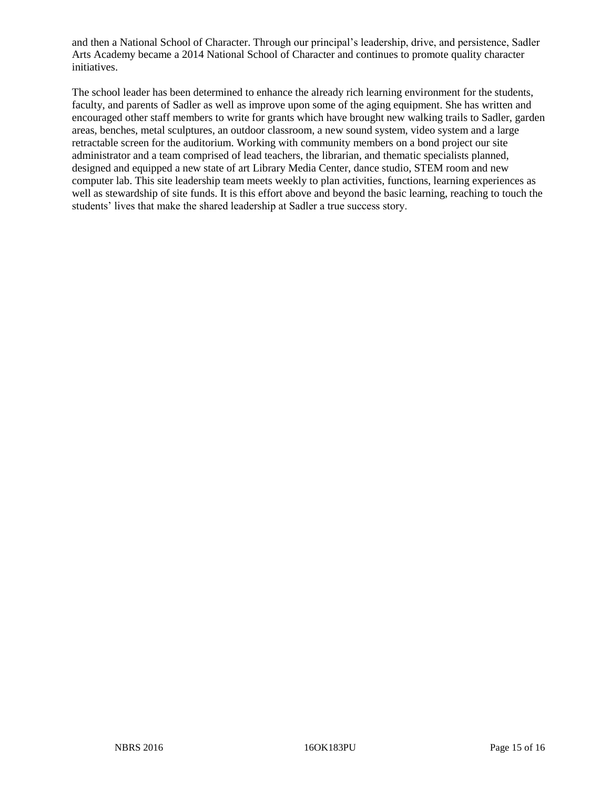and then a National School of Character. Through our principal's leadership, drive, and persistence, Sadler Arts Academy became a 2014 National School of Character and continues to promote quality character initiatives.

The school leader has been determined to enhance the already rich learning environment for the students, faculty, and parents of Sadler as well as improve upon some of the aging equipment. She has written and encouraged other staff members to write for grants which have brought new walking trails to Sadler, garden areas, benches, metal sculptures, an outdoor classroom, a new sound system, video system and a large retractable screen for the auditorium. Working with community members on a bond project our site administrator and a team comprised of lead teachers, the librarian, and thematic specialists planned, designed and equipped a new state of art Library Media Center, dance studio, STEM room and new computer lab. This site leadership team meets weekly to plan activities, functions, learning experiences as well as stewardship of site funds. It is this effort above and beyond the basic learning, reaching to touch the students' lives that make the shared leadership at Sadler a true success story.